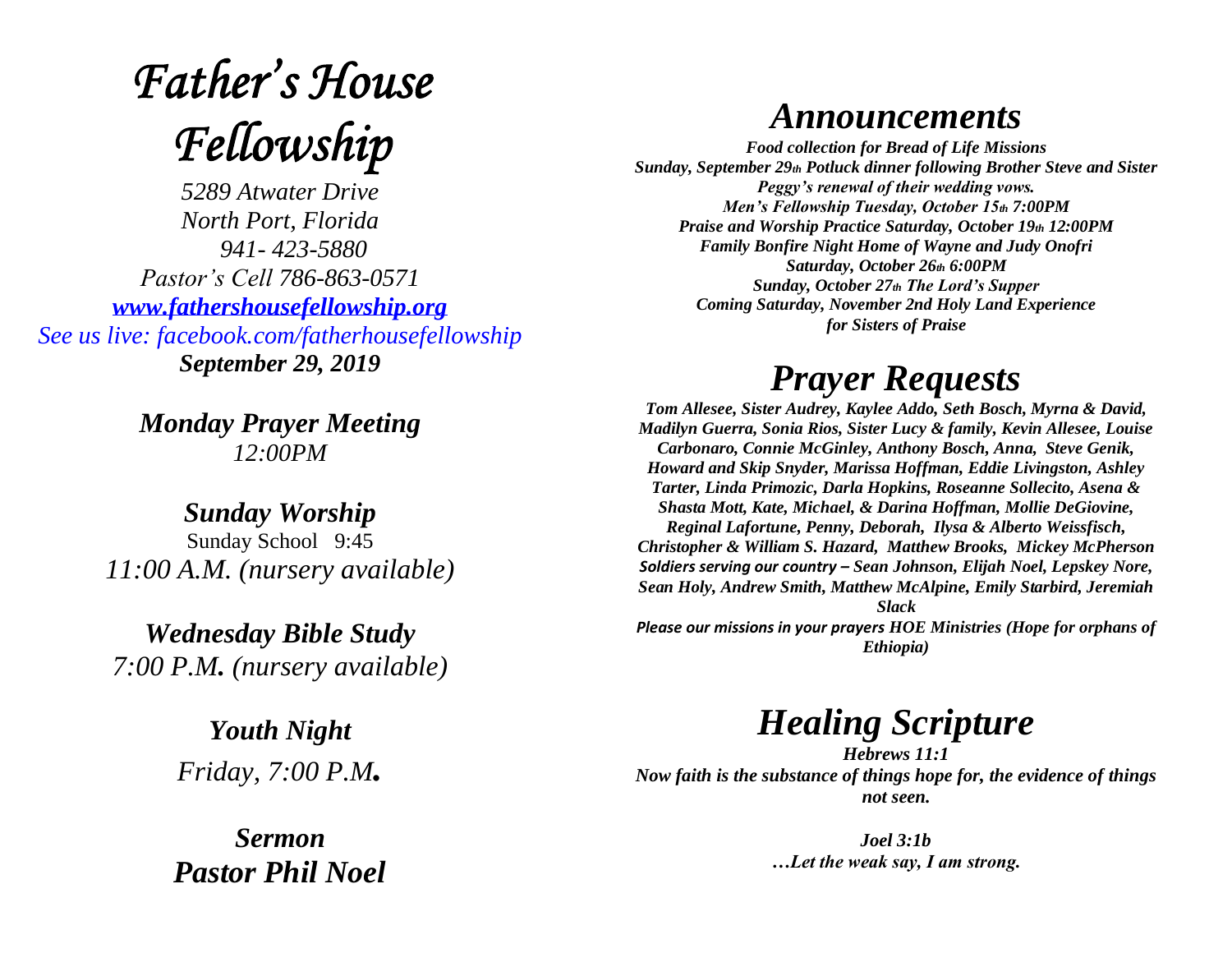# **Father's House** Fellowship

*5289 Atwater Drive North Port, Florida 941- 423-5880 Pastor's Cell 786-863-0571 [www.fathershousefellowship.org](http://www.fathershousefellowship.org/) See us live: facebook.com/fatherhousefellowship September 29, 2019*

> *Monday Prayer Meeting 12:00PM*

*Sunday Worship* Sunday School 9:45 *11:00 A.M. (nursery available)*

*Wednesday Bible Study 7:00 P.M. (nursery available)*

> *Youth Night Friday, 7:00 P.M.*

*Sermon Pastor Phil Noel*

#### *Announcements*

*Food collection for Bread of Life Missions Sunday, September 29th Potluck dinner following Brother Steve and Sister Peggy's renewal of their wedding vows. Men's Fellowship Tuesday, October 15th 7:00PM Praise and Worship Practice Saturday, October 19th 12:00PM Family Bonfire Night Home of Wayne and Judy Onofri Saturday, October 26th 6:00PM Sunday, October 27th The Lord's Supper Coming Saturday, November 2nd Holy Land Experience for Sisters of Praise*

### *Prayer Requests*

*Tom Allesee, Sister Audrey, Kaylee Addo, Seth Bosch, Myrna & David, Madilyn Guerra, Sonia Rios, Sister Lucy & family, Kevin Allesee, Louise Carbonaro, Connie McGinley, Anthony Bosch, Anna, Steve Genik, Howard and Skip Snyder, Marissa Hoffman, Eddie Livingston, Ashley Tarter, Linda Primozic, Darla Hopkins, Roseanne Sollecito, Asena & Shasta Mott, Kate, Michael, & Darina Hoffman, Mollie DeGiovine, Reginal Lafortune, Penny, Deborah, Ilysa & Alberto Weissfisch, Christopher & William S. Hazard, Matthew Brooks, Mickey McPherson Soldiers serving our country – Sean Johnson, Elijah Noel, Lepskey Nore, Sean Holy, Andrew Smith, Matthew McAlpine, Emily Starbird, Jeremiah Slack Please our missions in your prayers HOE Ministries (Hope for orphans of Ethiopia)*

## *Healing Scripture*

*Hebrews 11:1 Now faith is the substance of things hope for, the evidence of things not seen.* 

> *Joel 3:1b …Let the weak say, I am strong.*